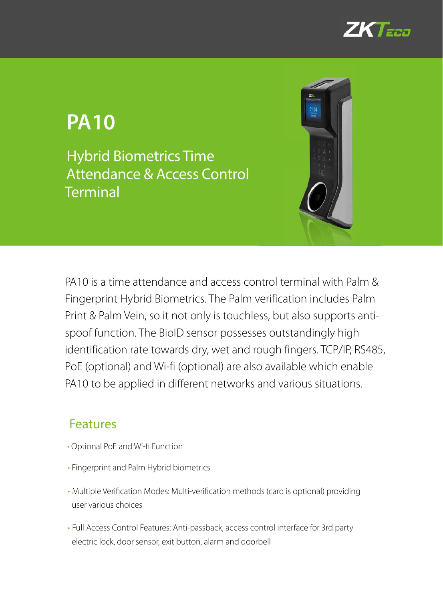

# **PA10**

Hybrid Biometrics Time Attendance & Access Control **Terminal** 



PA10 is a time attendance and access control terminal with Palm & Fingerprint Hybrid Biometrics. The Palm verification includes Palm Print & Palm Vein, so it not only is touchless, but also supports antispoof function. The BioID sensor possesses outstandingly high identification rate towards dry, wet and rough fingers. TCP/IP, RS485, PoE (optional) and Wi-fi (optional) are also available which enable PA10 to be applied in different networks and various situations.

#### Features

- Optional PoE and Wi-fi Function
- Fingerprint and Palm Hybrid biometrics
- Multiple Verification Modes: Multi-verification methods (card is optional) providing user various choices
- •Full Access Control Features: Anti-passback, access control interface for 3rd party electric lock, door sensor, exit button, alarm and doorbell